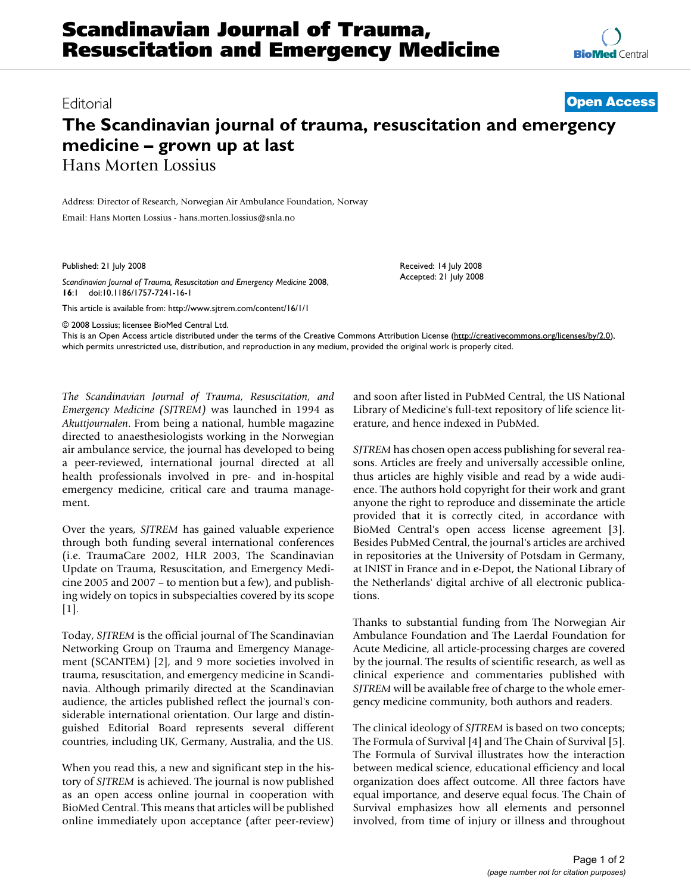Editorial **[Open Access](http://www.biomedcentral.com/info/about/charter/)**

## **The Scandinavian journal of trauma, resuscitation and emergency medicine – grown up at last** Hans Morten Lossius

Address: Director of Research, Norwegian Air Ambulance Foundation, Norway

Email: Hans Morten Lossius - hans.morten.lossius@snla.no

Published: 21 July 2008

*Scandinavian Journal of Trauma, Resuscitation and Emergency Medicine* 2008, **16**:1 doi:10.1186/1757-7241-16-1

[This article is available from: http://www.sjtrem.com/content/16/1/1](http://www.sjtrem.com/content/16/1/1)

© 2008 Lossius; licensee BioMed Central Ltd.

This is an Open Access article distributed under the terms of the Creative Commons Attribution License [\(http://creativecommons.org/licenses/by/2.0\)](http://creativecommons.org/licenses/by/2.0), which permits unrestricted use, distribution, and reproduction in any medium, provided the original work is properly cited.

*The Scandinavian Journal of Trauma, Resuscitation, and Emergency Medicine (SJTREM)* was launched in 1994 as *Akuttjournalen*. From being a national, humble magazine directed to anaesthesiologists working in the Norwegian air ambulance service, the journal has developed to being a peer-reviewed, international journal directed at all health professionals involved in pre- and in-hospital emergency medicine, critical care and trauma management.

Over the years, *SJTREM* has gained valuable experience through both funding several international conferences (i.e. TraumaCare 2002, HLR 2003, The Scandinavian Update on Trauma, Resuscitation, and Emergency Medicine 2005 and 2007 – to mention but a few), and publishing widely on topics in subspecialties covered by its scope  $[1]$ .

Today, *SJTREM* is the official journal of The Scandinavian Networking Group on Trauma and Emergency Management (SCANTEM) [2], and 9 more societies involved in trauma, resuscitation, and emergency medicine in Scandinavia. Although primarily directed at the Scandinavian audience, the articles published reflect the journal's considerable international orientation. Our large and distinguished Editorial Board represents several different countries, including UK, Germany, Australia, and the US.

When you read this, a new and significant step in the history of *SJTREM* is achieved. The journal is now published as an open access online journal in cooperation with BioMed Central. This means that articles will be published online immediately upon acceptance (after peer-review) and soon after listed in PubMed Central, the US National Library of Medicine's full-text repository of life science literature, and hence indexed in PubMed.

Received: 14 July 2008 Accepted: 21 July 2008

*SJTREM* has chosen open access publishing for several reasons. Articles are freely and universally accessible online, thus articles are highly visible and read by a wide audience. The authors hold copyright for their work and grant anyone the right to reproduce and disseminate the article provided that it is correctly cited, in accordance with BioMed Central's open access license agreement [3]. Besides PubMed Central, the journal's articles are archived in repositories at the University of Potsdam in Germany, at INIST in France and in e-Depot, the National Library of the Netherlands' digital archive of all electronic publications.

Thanks to substantial funding from The Norwegian Air Ambulance Foundation and The Laerdal Foundation for Acute Medicine, all article-processing charges are covered by the journal. The results of scientific research, as well as clinical experience and commentaries published with *SJTREM* will be available free of charge to the whole emergency medicine community, both authors and readers.

The clinical ideology of *SJTREM* is based on two concepts; The Formula of Survival [4] and The Chain of Survival [5]. The Formula of Survival illustrates how the interaction between medical science, educational efficiency and local organization does affect outcome. All three factors have equal importance, and deserve equal focus. The Chain of Survival emphasizes how all elements and personnel involved, from time of injury or illness and throughout